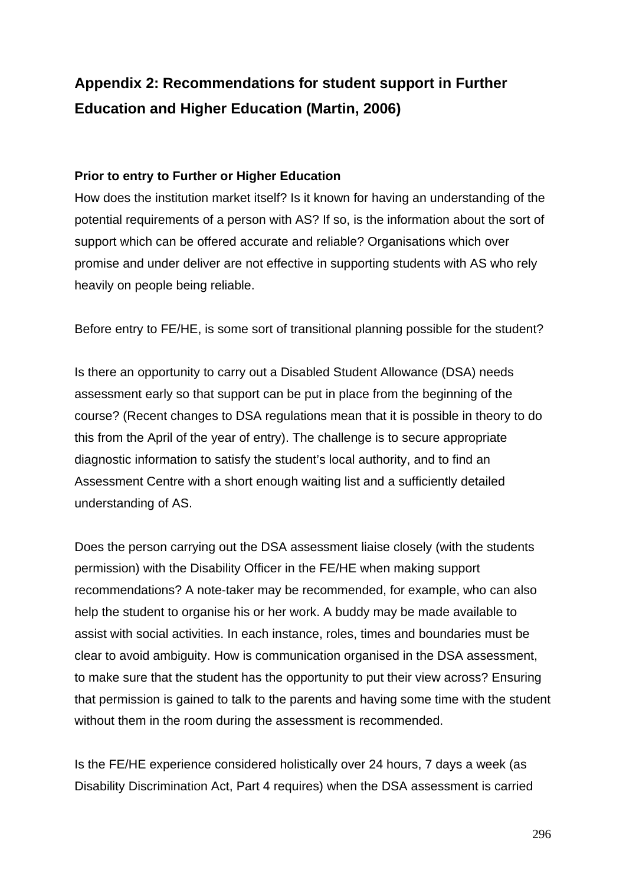## **Appendix 2: Recommendations for student support in Further Education and Higher Education (Martin, 2006)**

## **Prior to entry to Further or Higher Education**

How does the institution market itself? Is it known for having an understanding of the potential requirements of a person with AS? If so, is the information about the sort of support which can be offered accurate and reliable? Organisations which over promise and under deliver are not effective in supporting students with AS who rely heavily on people being reliable.

Before entry to FE/HE, is some sort of transitional planning possible for the student?

Is there an opportunity to carry out a Disabled Student Allowance (DSA) needs assessment early so that support can be put in place from the beginning of the course? (Recent changes to DSA regulations mean that it is possible in theory to do this from the April of the year of entry). The challenge is to secure appropriate diagnostic information to satisfy the student's local authority, and to find an Assessment Centre with a short enough waiting list and a sufficiently detailed understanding of AS.

Does the person carrying out the DSA assessment liaise closely (with the students permission) with the Disability Officer in the FE/HE when making support recommendations? A note-taker may be recommended, for example, who can also help the student to organise his or her work. A buddy may be made available to assist with social activities. In each instance, roles, times and boundaries must be clear to avoid ambiguity. How is communication organised in the DSA assessment, to make sure that the student has the opportunity to put their view across? Ensuring that permission is gained to talk to the parents and having some time with the student without them in the room during the assessment is recommended.

Is the FE/HE experience considered holistically over 24 hours, 7 days a week (as Disability Discrimination Act, Part 4 requires) when the DSA assessment is carried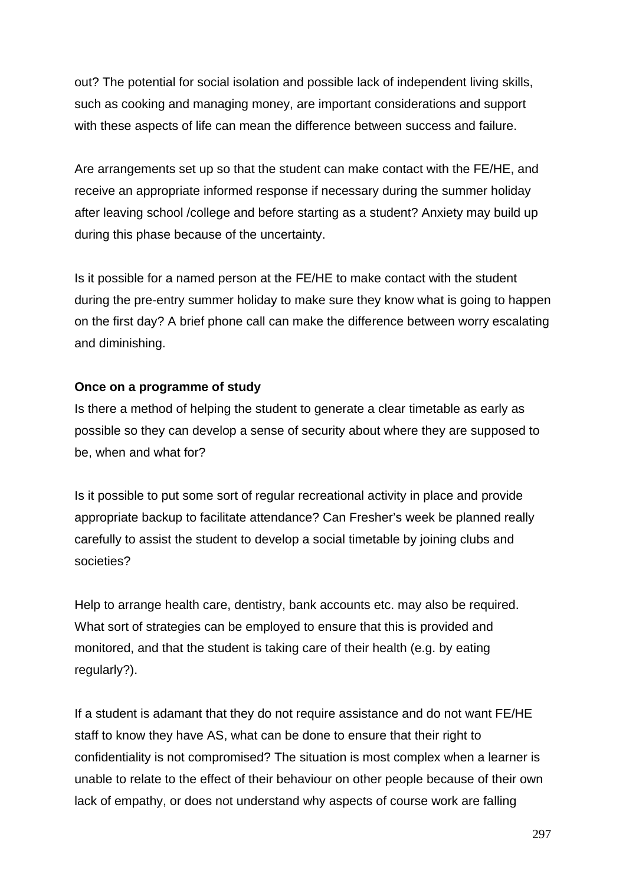out? The potential for social isolation and possible lack of independent living skills, such as cooking and managing money, are important considerations and support with these aspects of life can mean the difference between success and failure.

Are arrangements set up so that the student can make contact with the FE/HE, and receive an appropriate informed response if necessary during the summer holiday after leaving school /college and before starting as a student? Anxiety may build up during this phase because of the uncertainty.

Is it possible for a named person at the FE/HE to make contact with the student during the pre-entry summer holiday to make sure they know what is going to happen on the first day? A brief phone call can make the difference between worry escalating and diminishing.

## **Once on a programme of study**

Is there a method of helping the student to generate a clear timetable as early as possible so they can develop a sense of security about where they are supposed to be, when and what for?

Is it possible to put some sort of regular recreational activity in place and provide appropriate backup to facilitate attendance? Can Fresher's week be planned really carefully to assist the student to develop a social timetable by joining clubs and societies?

Help to arrange health care, dentistry, bank accounts etc. may also be required. What sort of strategies can be employed to ensure that this is provided and monitored, and that the student is taking care of their health (e.g. by eating regularly?).

If a student is adamant that they do not require assistance and do not want FE/HE staff to know they have AS, what can be done to ensure that their right to confidentiality is not compromised? The situation is most complex when a learner is unable to relate to the effect of their behaviour on other people because of their own lack of empathy, or does not understand why aspects of course work are falling